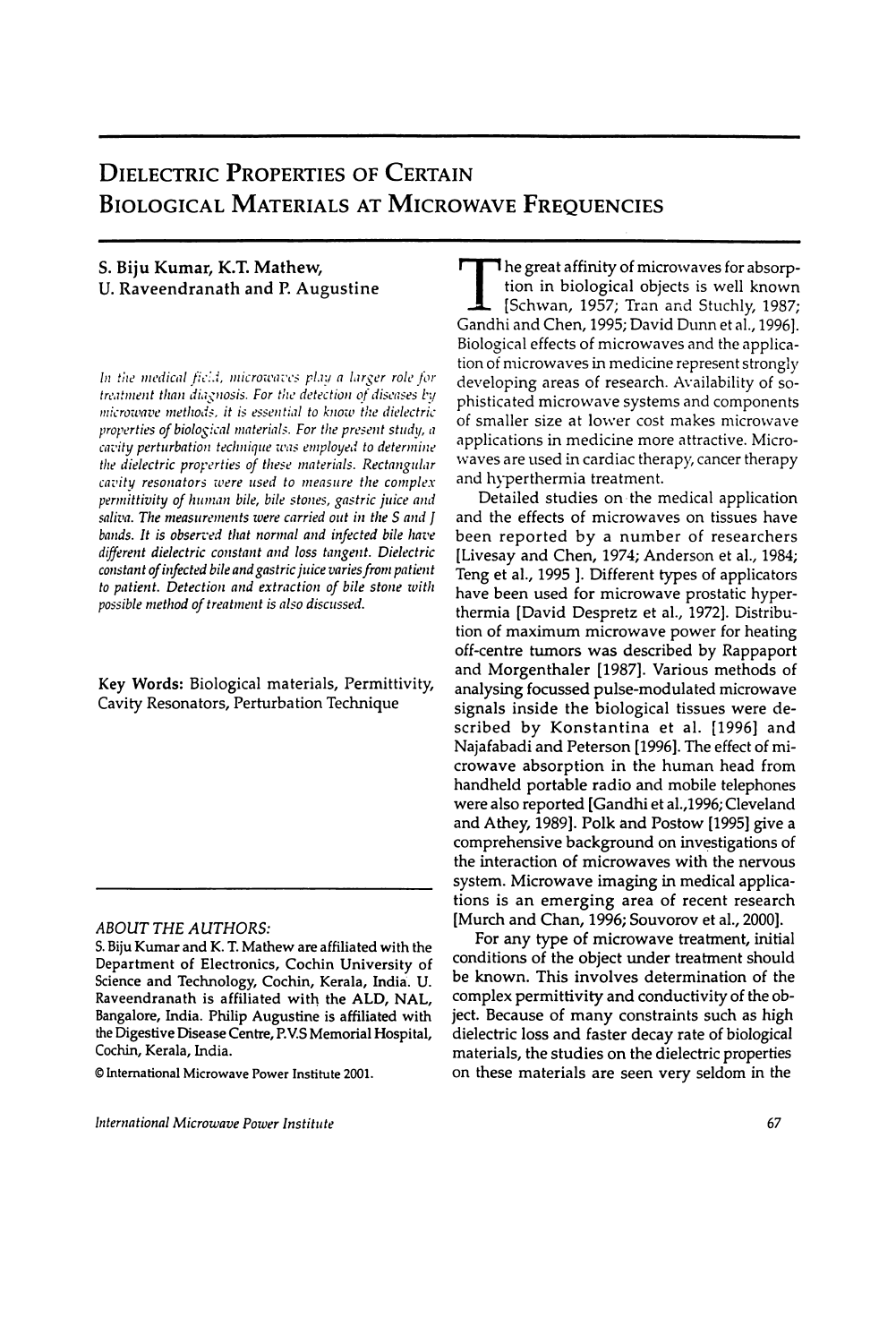# DIELECTRIC PROPERTIES OF CERTAIN BIOLDGICAL MATERIALS AT MICROWAVE FREQUENCIES

# S. Biju Kumar, K.T. Mathew, U. Raveendranath and P. Augustine

In the medical field, microwaves play a larger role for treatment than diagnosis. For the detection of diseases by microwave methods. it is essential to know the dielectric properties of biological materials. For the present study, a cavity perturbation technique was employed to determine the dielectric properties of these materials. Rectangular cavity resonators were used to measure the complex permittivity of human bile, bile stones, gastric juice and saliva. The measurements were carried out in the S and J bands. It is observed that normal and infected bile have diflerent dielectric constant and loss tangent. Dielectric constant of infected bile and gastric juice varies from patient to patient. Detection and extraction of bile stone with possible method of treatment is also discussed.

Key Words: Biological materials, Permittivity, Cavity Resonators, Perturbation Technique

#### ABOUT THE AUTHORS:

© International Microwave Power Institute 2001.

lnternational Microwave Power Institute

**The great affinity of microwaves for absorp**tion in biological objects is well known  $\Box$  [Schwan, 1957; Tran and Stuchly, 1987; Gandhi and Chen, 1995; David Dunn et al., 1996]. Biological effects of microwaves and the application of microwaves in medicine represent strongly developing areas of research. Availability of sophisticated microwave systems and components of smaller size at lower cost makes microwave applications in medicine more attractive. Microwaves are used in cardiac therapy, cancer therapy and hyperthermia treatment.

Detailed studies on the medical application and the effects of microwaves on tissues have been reported by a number of researchers [Livesay and Chen, 1974; Anderson et al., 1984; Teng et al., 1995 ]. Different types of applicators have been used for microwave prostatic hyperthermia [David Despretz et al., 1972]. Distribution of maximum microwave power for heating off-centre tumors was described by Rappaport and Morgenthaler [1987]. Various methods of analysing focussed pulse-modulated microwave signals inside the biological tissues were described by Konstantina et al. [1996] and Najafabadi and Peterson [1996]. The effect of microwave absorption in the human head from handheld portable radio and mobile telephones were also reported [Gandhi et al.,1996; Cleveland and Athey, 1989]. Polk and Postow [1995] give a comprehensive background on investigations of the interaction of microwaves with the nervous system. Microwave imaging in medical applications is an emerging area of recent research [Murch and Chan, 1996; Souvorov et al., 2000].

For any type of microwave treatment, initial conditions of the object under treatment should be known. This involves determination of the complex permittivity and conductivity of the object. Because of many constraints such as high dielectric loss and faster decay rate of biological materials, the studies on the dielectric properties on these materials are seen very seldom in the

S. Biju Kumar and K. T. Ma thew are affiliated with the Department of Electronics, Cochin University of Science and Technology, Cochin, Kerala, India. U. Raveendranath is affiliated with the ALD, NAL, Bangalore, India. Philip Augustine is affiliated with the Digestive Disease Centre, P.V.S Memorial Hospital, Cochin, Kerala, India.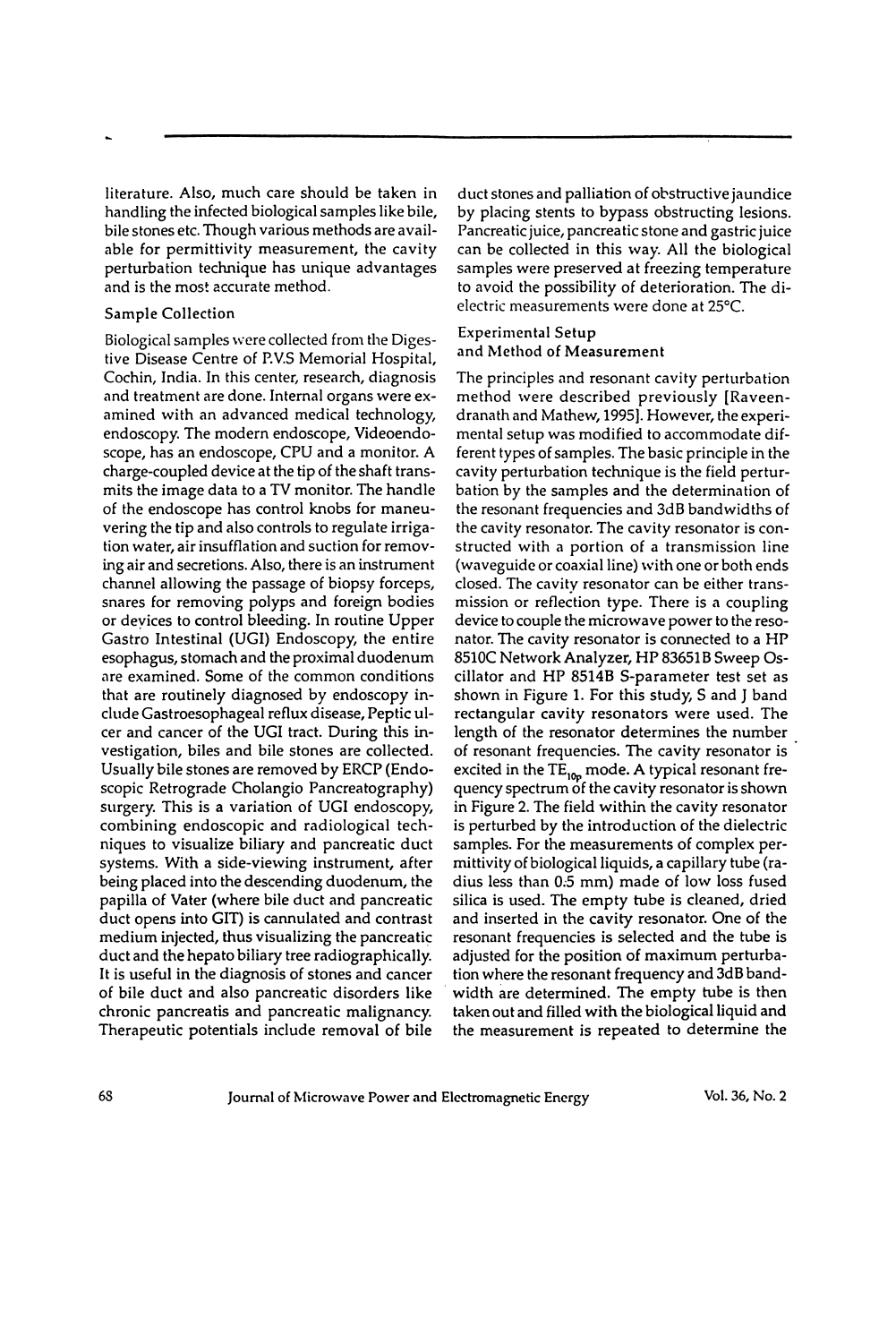literature. Also, much care should be taken in handling the infected biological samples like bile, bile stones etc. Though various methods are available for permittivity measurement, the cavity perturbation technique has unique advantages and is the most accurate method.

#### Sample Collection

Biological samples were collected from the Digestive Disease Centre of P.V.S Memorial Hospital, Cochin, India. In this center, research, diagnosis and treatment are done. Intemal organs were examined with an advanced medical technology, endoscopy. The modern endoscope, Videoendoscope, has an endoscope, CPU and a monitor. A charge-coupled device at the tip of the shaft transmits the image data to a TV monitor. The handle of the endoscope has control knobs for maneuvering the tip and also controls to regulate irrigation water, air insufflation and suction for removing air and secretions. Also, there is an instrument channel allowing the passage of biopsy forceps, snares for removing polyps and foreign bodies or devices to control bleeding. In routine Upper Gastro Intestinal (UGI) Endoscopy, the entire esophagus, stomach and the proximal duodenum are examined. Some of the common conditions that are routinely diagnosed by endoscopy include Gastroesophageal reflux disease, Peptic ulcer and cancer of the UGI tract. During this investigation, biles and bile stones are collected. Usually bile stones are removed by ERCP (Endoscopic Retrograde Cholangio Pancreatography) surgery. This is a variation of UGI endoscopy, combining endoscopic and radiological techniques to visualize biliary and pancreatic duct systems. With a side-viewing instrument, after being placed into the descending duodenum, the papilla of Vater (where bile duct and pancreatic duct opens into GIT) is cannulated and contrast medium injected, thus visualizing the pancreatic duct and the hepato biliary tree radiographically. It is useful in the diagnosis of stones and cancer of bile duct and also pancreatic disorders like chronic pancreatis and pancreatic malignancy. Therapeutic potentials include removal of bile

duct stones and palliation of obstructive jaundice by placing stents to bypass obstructing lesions. Pancreatic juice, pancreatic stone and gastric juice can be collected in this way. All the biological samples were preserved at freezing temperature to avoid the possibility of deterioration. The dielectric measurements were done at 25°C.

#### Experimental Setup and Method of Measurement

The principles and resonant cavity perturbation method were described previously [Raveendranath and Mathew, 1995]. However, the experimental setup was modified to accommodate different types of samples. The basic principle in the cavity perturbation technique is the field perturbation by the samples and the determination of the resonant frequencies and 3dB bandwidths of the cavity resonator. The cavity resonator is constructed with a portion of a transmission line (waveguide or coaxial line) with one or both ends closed. The cavity resonator can be either transmission or reflection type. There is a coupling device to couple the microwave power to the resonator. The cavity resonator is connected to a HP 8510C Network Analyzer, HP 836518 Sweep Oscillator and HP 8514B S-parameter test set as shown in Figure 1. For this study, S and J band rectangular cavity resonators were used. The length of the resonator determines the number of resonant frequencies. The cavity resonator is excited in the  $TE_{10p}$  mode. A typical resonant frequency spectrum of the cavity resonator is shown in Figure 2. The field within the cavity resonator is perturbed by the introduction of the dielectric samples. For the measurements of complex permittivity of biological liquids, a capillary tube (radius less than 0.5 mm) made of low loss fused silica is used. The empty tube is cleaned, dried and inserted in the cavity resonator. One of the resonant frequencies is selected and the tube is adjusted for the position of maximum perturbation where the resonant frequency and 3dB bandwidth are determined. The empty tube is then taken out and filled with the biological liquid and the measurement is repeated to determine the

68 Journal of Microwave Power and Electromagnetic Energy Vol. 36, No. 2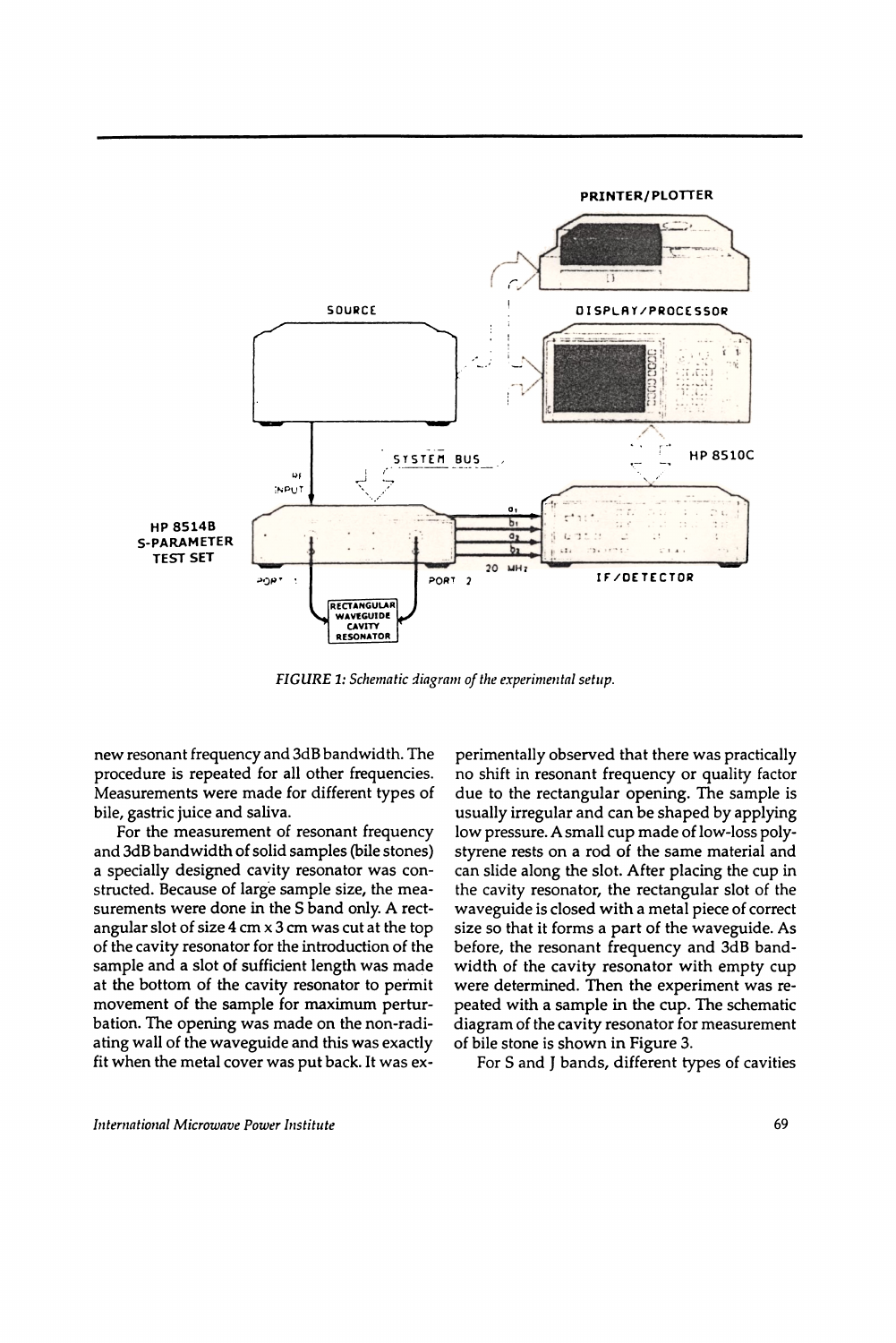PRINTER/PLOTTER



FIGURE 1: Schematic diagram of the experimental setup.

new resonant frequency and 3dB bandwidth. The procedure is repeated for all other frequencies. Measurements were made for different types of bile, gastric juice and saliva.

For the measurement of resonant frequency and 3dB bandwidth of solid samples (bile stones) a specially designed cavity resonator was constructed. Because of large sample size, the measurements were done in the S band only. A rectangular slot of size  $4 \text{ cm} \times 3 \text{ cm}$  was cut at the top of the cavity resonator for the introduction of the sample and a slot of sufficient length was made at the bottom of the cavity resonator to permit movement of the sample for maximum perturbation. The opening was made on the non-radiating wall of the waveguide and this was exactly fit when the metal cover was put back. It was experimentally observed that there was practically no shift in resonant frequency or quality factor due to the rectangular opening. The sample is usually irregular and can be shaped by applying low pressure. A small cup made of low-loss polystyrene rests on a rod of the same material and can slide along the slot. After placing the cup in the cavity resonator, the rectangular slot of the waveguide is closed with a metal piece of correct size so that it forms a part of the waveguide. As before, the resonant frequency and 3dB bandwidth of the cavity resonator with empty cup were determined. Then the experiment was repeated with a sample in the cup. The schematic diagram of the cavity resonator for measurement of bile stone is shown in Figure 3.

For S and I bands, different types of cavities

International Microwave Power Institute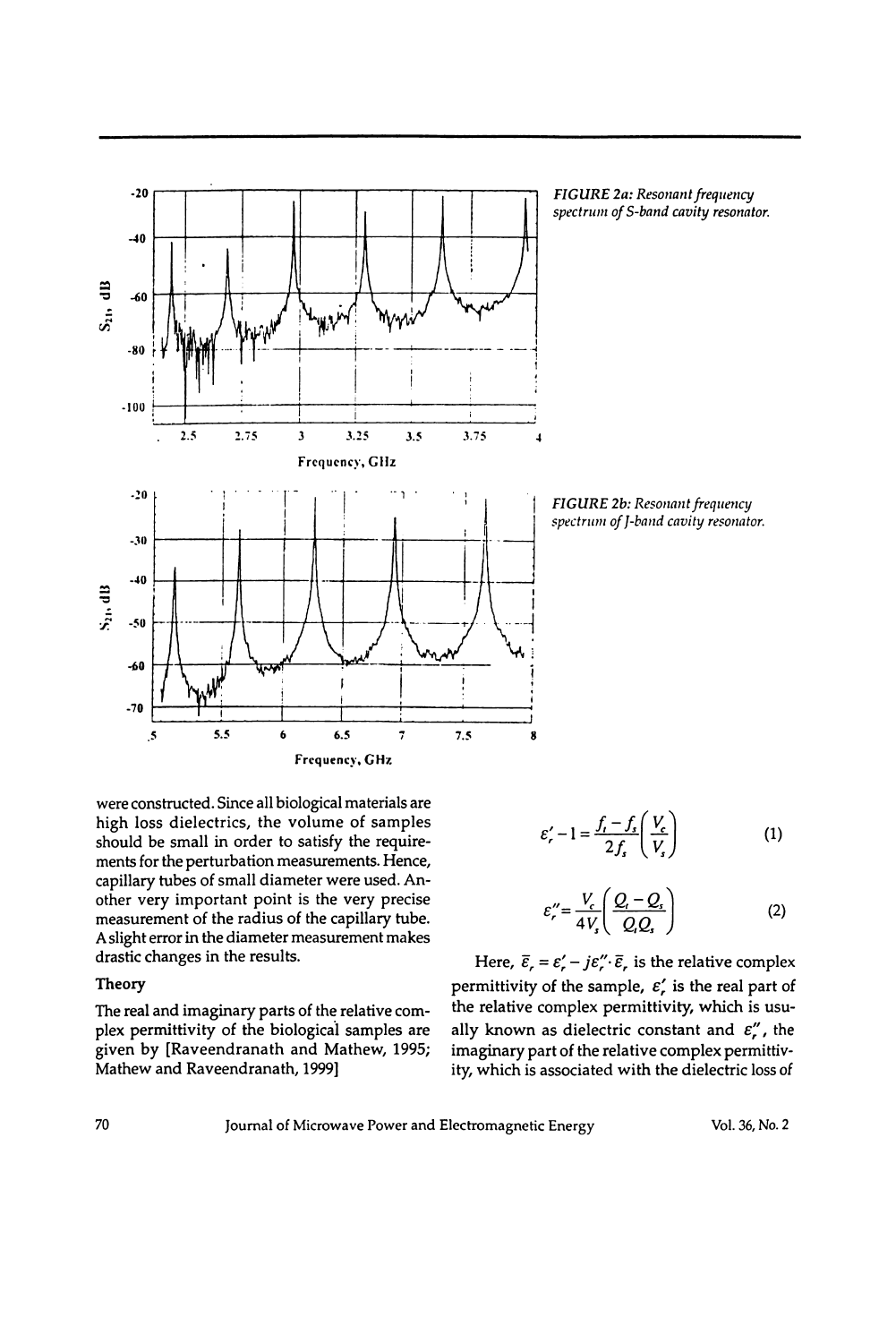

FIGURE 2a: Resonant frequency spectrum of S-band cavity resonator.

FIGURE 2b: Resonant frequency spectrum of J-band cavity resonator.

were constructed. Since all biological materials are high loss dielectrics, the volume of samples should be small in order to satisfy the requirements for the perturbation measurements. Hence, capillary tubes of small diameter were used. Another very important point is the very precise measurement of the radius of the capillary tube. A slight error in the diameter measurement makes drastic changes in the results.

#### Theory

The real and imaginary parts of the relative complex permittivity of the biological samples are given by [Raveendranath and Mathew, 1995; Mathew and Raveendranath, 1999]

$$
\varepsilon'_{r} - 1 = \frac{f_{r} - f_{s}}{2f_{s}} \left( \frac{V_{c}}{V_{s}} \right)
$$
 (1)

$$
\varepsilon_r'' = \frac{V_c}{4V_s} \left( \frac{Q_t - Q_s}{Q_t Q_s} \right) \tag{2}
$$

Here,  $\bar{\varepsilon}_r = \varepsilon_r' - j\varepsilon_r'' \cdot \bar{\varepsilon}_r$  is the relative complex permittivity of the sample,  $\varepsilon'$ , is the real part of the relative complex permittivity, which is usually known as dielectric constant and  $\varepsilon_{r}''$ , the imaginary part of the relative complex permittivity, which is associated with the dielectric loss of

Journal of Microwave Power and Electromagnetic Energy

Vol. 36, No. 2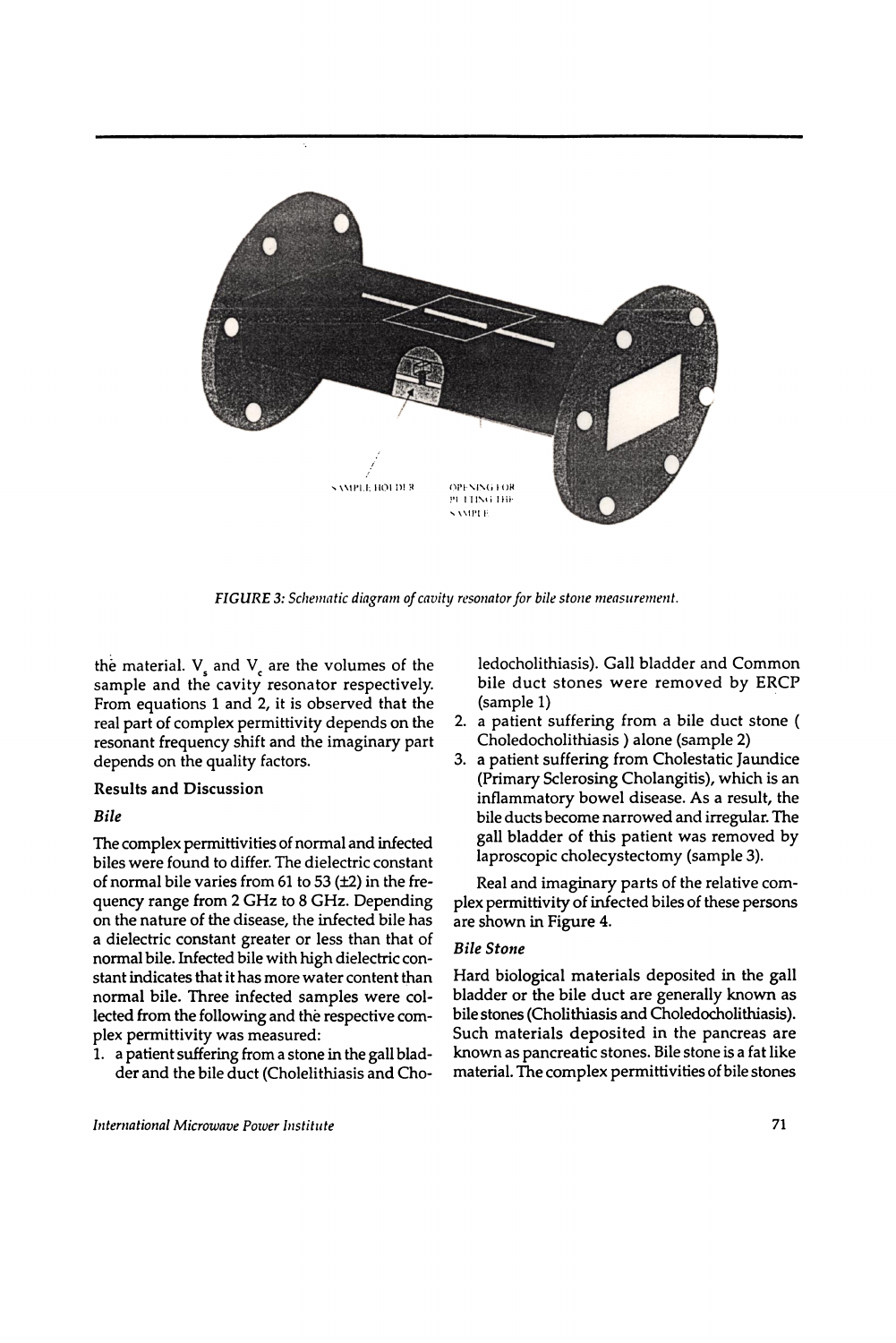

FIGURE 3: Schematic diagram of cavity resonator for bile stone measurement.

the material.  $V_{\rm s}$  and  $V_{\rm s}$  are the volumes of the sample and the cavity resonator respectively. From equations 1 and 2, it is observed that the real part of complex permittivity depends on the resonant frequency shift and the imaginary part depends on the quality factors.

### Results and Discussion

## Bile

The complex permittivities of normal and infected biles were found to differ. The dielectric constant of normal bile varies from 61 to 53  $(\pm 2)$  in the frequency range from 2 GHz to 8 GHz. Depending on the nature of the disease, the infected bile has a dielectric constant greater or less than that of normal bile. Infected bile with high dielectric constant indicates that it has more water content than normal bile. Three infected samples were collected from the following and the respective complex permittivity was measured:

1. a patient suffering from a stone in the gall bladder and the bile duct (Cholelithiasis and Choledocholithiasis). Gall bladder and Common bile duct stones were removed by ERCP (sample 1)

- 2. a patient suffering from a bile duct stone ( Choledocholithiasis ) alone (sample 2)
- 3. a patient suffering from Cholestatic Iaundice (Primary Sclerosing Cholangitis), which is an inflammatory bowel disease. As a result, the bile ducts become narrowed and irregular. The gall bladder of this patient was removed by laproscopic cholecystectomy (sample 3).

Real and imaginary parts of the relative complex permittivity of infected biles of these persons are shown in Figure 4.

# Bile Stone

Hard biological materials deposited in the gall bladder or the bile duct are generally known as bile stones (Cholithiasis and Choledocholithiasis). Such materials deposited in the pancreas are known as pancreatic stones. Bile stone is a fat like material. The complex permittivities of bile stones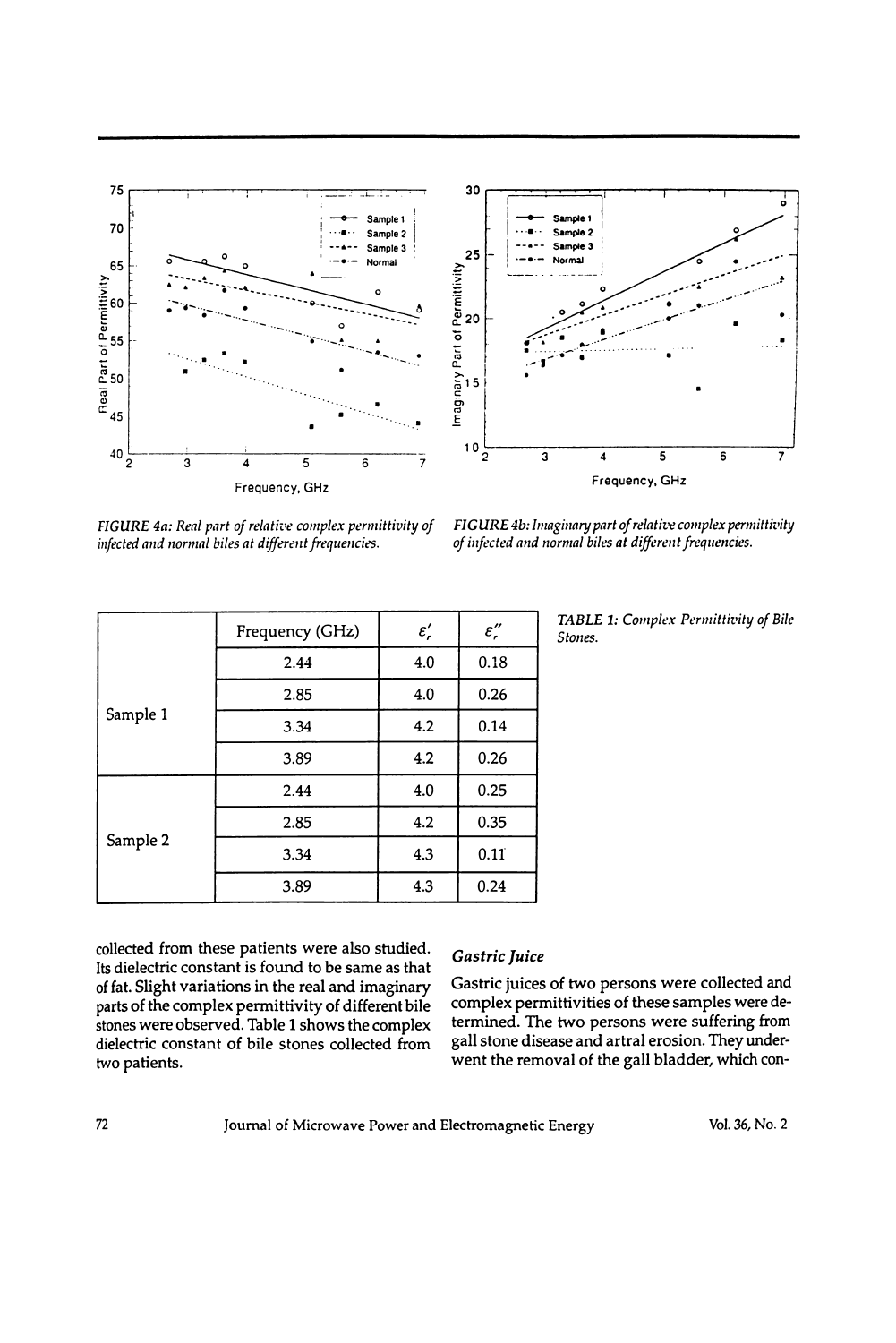



FIGURE 4a: Real part of relative complex permittivity of infected and normal biles at different frequencies.

FIGURE 4b: Imaginary part of relative complex permittivity of infected and normal biles at different frequencies.

|          | Frequency (GHz) | $\varepsilon_r'$ | $\varepsilon_r''$ |
|----------|-----------------|------------------|-------------------|
|          | 2.44            | 4.0              | 0.18              |
| Sample 1 | 2.85            | 4.0              | 0.26              |
|          | 3.34            | 4.2              | 0.14              |
|          | 3.89            | 4.2              | 0.26              |
| Sample 2 | 2.44            | 4.0              | 0.25              |
|          | 2.85            | 4.2              | 0.35              |
|          | 3.34            | 4.3              | 0.11              |
|          | 3.89            | 4.3              | 0.24              |

TABLE 1: Complex Permittivity of Bile Stones.

collected from these patients were also studied. Its dielectric constant is found to be same as that of fat. Slight variations in the real and imaginary parts of the complex permittivity of different bile stones were observed. Table 1 shows the complex dielectric constant of bile stones collected from two patients.

# Gastric Juice

Gastric juices of two persons were collected and complex permittivities of these samples were determined. The two persons were suffering from gall stone disease and artral erosion. They underwent the removal of the gall bladder, which con-

Journal of Microwave Power and Electromagnetic Energy

Vol. 36, No. 2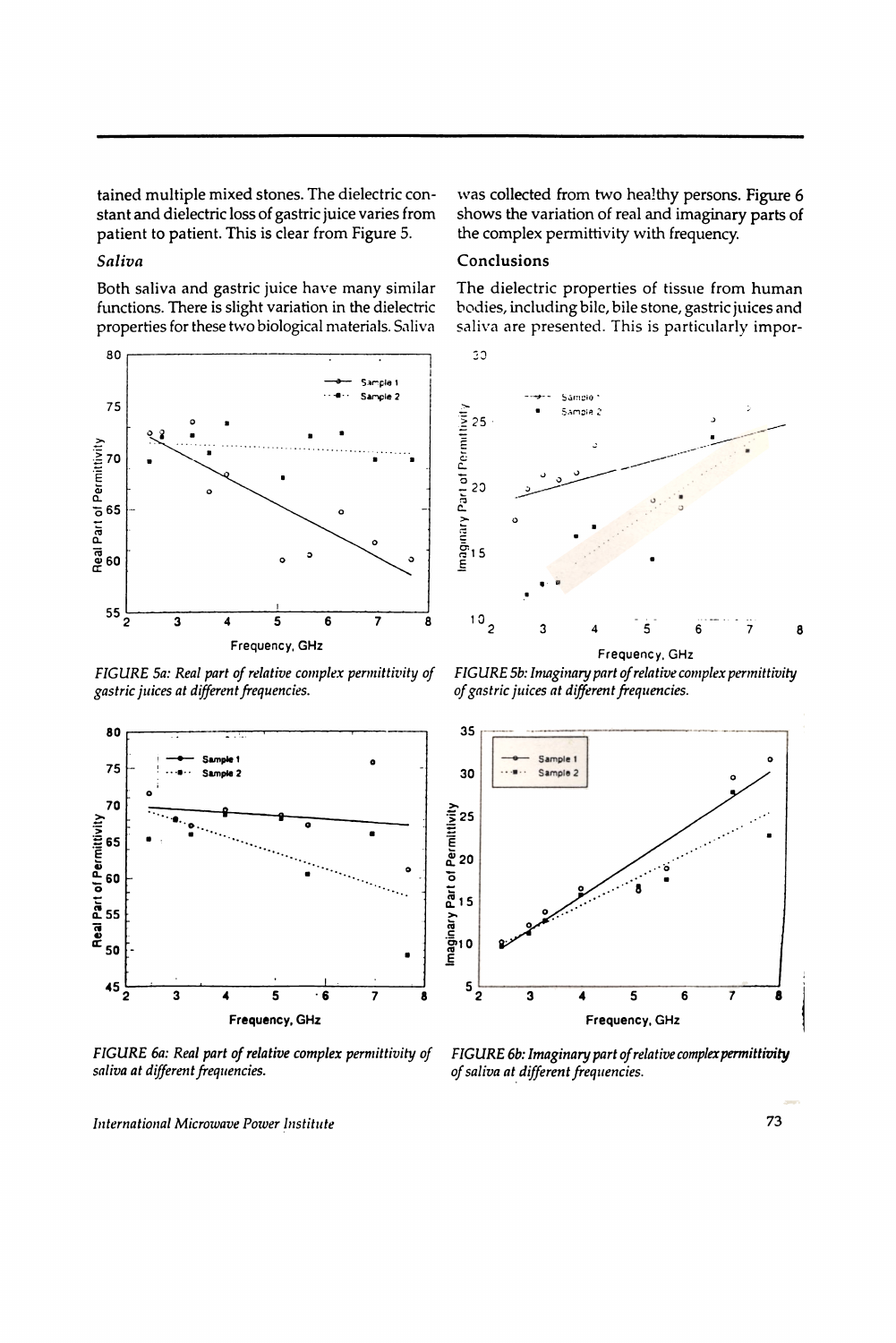tained multiple mixed stones. The dielectric constant and dielectric loss of gastric juice varies from patient to patient. This is clear from Figure 5.

## Saliva

Both saliva and gastric juice have many similar functions. There is slight variation in the dielectric properties for these two biological materials. Saliva



FIGURE 5a: Real part of relative complex permittivity of gastric juices at different frequencies.



FIGURE 6a: Real part of relative complex permittivity of saliva at different frequencies.

was collected from two healthy persons. Figure 6 shows the variation of real and imaginary parts of the complex permittivity with frequency.

### Conclusions

 $30^{\circ}$ 

The dielectric properties of tissue from human bodies, including bile, bile stone, gastric juices and saliva are presented. This is particularly impor-



Frequency, GHz

FIGURE 5b: Imaginary part of relative complex permittivity of gastric juices at different frequencies.



FIGURE 6b: Imaginary part of relative complex permittivity of saliva at different frequencies.

International Microwave Power Institute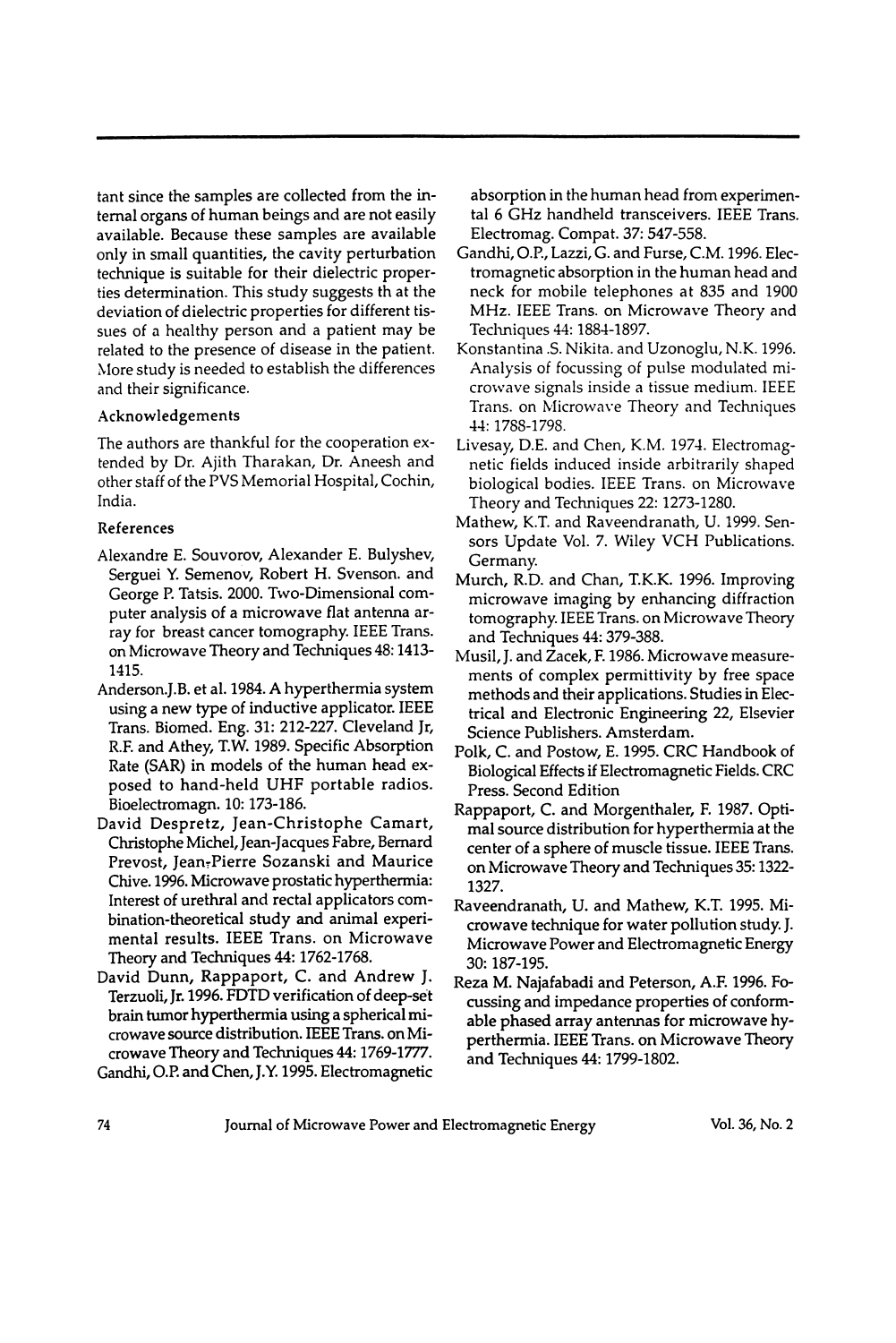tant since the samples are collected from the internal organs of human beings and are not easily available. Because these samples are available only in small quantities, the cavity perturbation technique is suitable for their dielectric properties determination. This study suggests th at the deviation of dielectric properties for different tissues of a healthy person and a patient may be related to the presence of disease in the patient. More study is needed to establish the differences and their significance.

## Acknowledgements

The authors are thankful for the cooperation extended by Dr. Ajith Tharakan, Dr. Aneesh and other staff of the PVS Memorial Hospital, Cochin, India.

## References

- Alexandre E. Souvorov, Alexander E. Bulyshev, Serguei Y. Semenov, Robert H. Svenson. and George P. Tatsis. 2000. Two-Dimensional computer analysis of a microwave flat antenna array for breast cancer tomography. IEEE Trans. on Microwave Theory and Techniques 48: 1413 1415.
- Anderson.].B. et al. 1984. A hyperthermia system using a new type of inductive applicator. IEEE Trans. Biomed. Eng. 31: 212-227. Cleveland Ir, R.F. and Athey, T.W. 1989. Specific Absorption Rate (SAR) in models of the human head exposed to hand-held UHF portable radios. Bioelectromagn. 10: 173-186.
- David Despretz, Jean-Christophe Camart, Christophe Michel, Jean-Jacques Fabre, Bemard Prevost, ]ean:Pierre Sozanski and Maurice Chive. 1996. Microwave prostatic hyperthermia: Interest of urethral and rectal applicators combination-theoretical study and animal experimental results. IEEE Trans. on Microwave Theory and Techniques 44: 1762-1768.
- David Dunn, Rappaport, C. and Andrew I. Terzuoli, Ir. 1996. FDTD verification of deep-set brain tumor hyperthermia using a spherical microwave source distribution. IEEE Trans. on Microwave Theory and Techniques 44: 1769-1777. Gandhi, O.P. and Chen, ].Y. 1995. Electromagnetic

absorption in the human head from experimental 6 GHz handheld transceivers. IEEE Trans. Electromag. Compat. 37: 547-558.

- Gandhi, O.P., Lazzi, G. and Purse, C.M. 1996. Electromagnetic absorption in the human head and neck for mobile telephones at 835 and 1900 MHz. IEEE Trans. on Microwave Theory and Techniques 44: 1884-1897.
- Konstantina .S. Nikita. and Uzonoglu, N.K. 1996. Analysis of focussing of pulse modulated microwave signals inside a tissue medium. IEEE Trans. on Microwave Theory and Techniques -14: 1788-1798.
- Livesay, D.E. and Chen, K.M. 1974. Electromagnetic fields induced inside arbitrarily shaped biological bodies. IEEE Trans. on Microwave Theory and Techniques 22: 1273-1280.
- Mathew, K.T. and Raveendranath, U. 1999. Sensors Update Vol. 7. Wiley VCH Publications. Germany.
- Murch, R.D. and Chan, T.K.K. 1996. Improving microwave imaging by enhancing diffraction tomography. IEEE Trans. on Microwave Theory and Techniques 44: 379-388.
- Musil, I. and Zacek, F. 1986. Microwave measurements of complex permittivity by free space methods and their applications. Studies in Electrical and Electronic Engineering 22, Elsevier Science Publishers. Amsterdam.
- Polk, C. and Postow, E. 1995. CRC Handbook of Biological Effects if Electromagnetic Fields. CRC Press. Second Edition
- Rappaport, C. and Morgenthaler, F. 1987. Optimal source distribution for hyperthermia at the center of a sphere of muscle tissue. IEEE Trans. on Microwave Theory and Techniques 35: 1322 1327.
- Raveendranath, U. and Mathew, K.T. 1995. Microwave technique for water pollution study. I. Microwave Power and Electromagnetic Energy 30: 187-195.
- Reza M. Najafabadi and Peterson, A.F. 1996. Focussing and impedance properties of conformable phased array antennas for microwave hyperthermia. IEEE Trans. on Microwave Theory and Techniques 44: 1799-1802.

74 Journal of Microwave Power and Electromagnetic Energy Vol. 36, No. 2